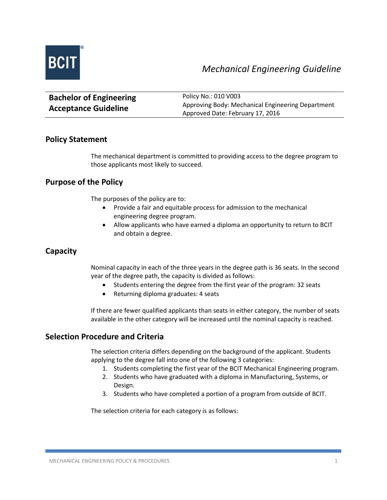

| <b>Bachelor of Engineering</b> | Policy No.: 010 V003                              |
|--------------------------------|---------------------------------------------------|
| <b>Acceptance Guideline</b>    | Approving Body: Mechanical Engineering Department |
|                                | Approved Date: February 17, 2016                  |

# **Policy Statement**

The mechanical department is committed to providing access to the degree program to those applicants most likely to succeed.

# **Purpose of the Policy**

The purposes of the policy are to:

- Provide a fair and equitable process for admission to the mechanical engineering degree program.
- Allow applicants who have earned a diploma an opportunity to return to BCIT and obtain a degree.

# **Capacity**

Nominal capacity in each of the three years in the degree path is 36 seats. In the second year of the degree path, the capacity is divided as follows:

- Students entering the degree from the first year of the program: 32 seats
- Returning diploma graduates: 4 seats

If there are fewer qualified applicants than seats in either category, the number of seats available in the other category will be increased until the nominal capacity is reached.

# **Selection Procedure and Criteria**

The selection criteria differs depending on the background of the applicant. Students applying to the degree fall into one of the following 3 categories:

- 1. Students completing the first year of the BCIT Mechanical Engineering program.
- 2. Students who have graduated with a diploma in Manufacturing, Systems, or Design.
- 3. Students who have completed a portion of a program from outside of BCIT.

The selection criteria for each category is as follows: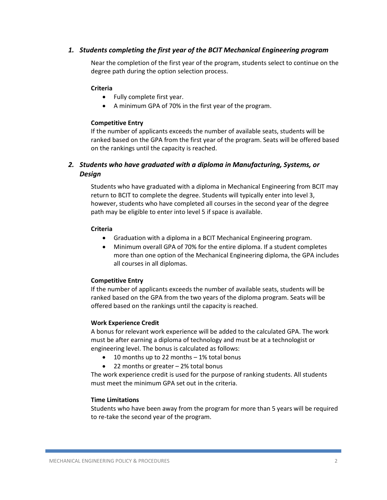### *1. Students completing the first year of the BCIT Mechanical Engineering program*

Near the completion of the first year of the program, students select to continue on the degree path during the option selection process.

#### **Criteria**

- Fully complete first year.
- A minimum GPA of 70% in the first year of the program.

#### **Competitive Entry**

If the number of applicants exceeds the number of available seats, students will be ranked based on the GPA from the first year of the program. Seats will be offered based on the rankings until the capacity is reached.

# *2. Students who have graduated with a diploma in Manufacturing, Systems, or Design*

Students who have graduated with a diploma in Mechanical Engineering from BCIT may return to BCIT to complete the degree. Students will typically enter into level 3, however, students who have completed all courses in the second year of the degree path may be eligible to enter into level 5 if space is available.

#### **Criteria**

- Graduation with a diploma in a BCIT Mechanical Engineering program.
- Minimum overall GPA of 70% for the entire diploma. If a student completes more than one option of the Mechanical Engineering diploma, the GPA includes all courses in all diplomas.

#### **Competitive Entry**

If the number of applicants exceeds the number of available seats, students will be ranked based on the GPA from the two years of the diploma program. Seats will be offered based on the rankings until the capacity is reached.

#### **Work Experience Credit**

A bonus for relevant work experience will be added to the calculated GPA. The work must be after earning a diploma of technology and must be at a technologist or engineering level. The bonus is calculated as follows:

- 10 months up to 22 months 1% total bonus
- 22 months or greater 2% total bonus

The work experience credit is used for the purpose of ranking students. All students must meet the minimum GPA set out in the criteria.

#### **Time Limitations**

Students who have been away from the program for more than 5 years will be required to re-take the second year of the program.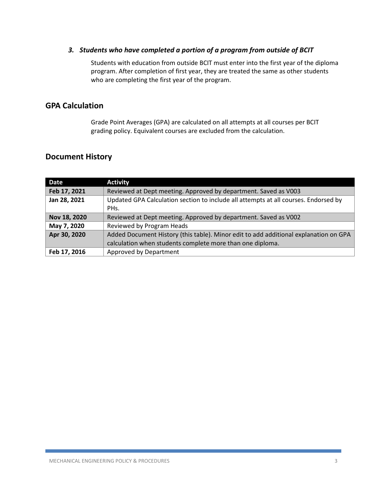### *3. Students who have completed a portion of a program from outside of BCIT*

Students with education from outside BCIT must enter into the first year of the diploma program. After completion of first year, they are treated the same as other students who are completing the first year of the program.

# **GPA Calculation**

Grade Point Averages (GPA) are calculated on all attempts at all courses per BCIT grading policy. Equivalent courses are excluded from the calculation.

# **Document History**

| <b>Date</b>  | <b>Activity</b>                                                                      |
|--------------|--------------------------------------------------------------------------------------|
| Feb 17, 2021 | Reviewed at Dept meeting. Approved by department. Saved as V003                      |
| Jan 28, 2021 | Updated GPA Calculation section to include all attempts at all courses. Endorsed by  |
|              | PH <sub>s</sub> .                                                                    |
| Nov 18, 2020 | Reviewed at Dept meeting. Approved by department. Saved as V002                      |
| May 7, 2020  | Reviewed by Program Heads                                                            |
| Apr 30, 2020 | Added Document History (this table). Minor edit to add additional explanation on GPA |
|              | calculation when students complete more than one diploma.                            |
| Feb 17, 2016 | Approved by Department                                                               |